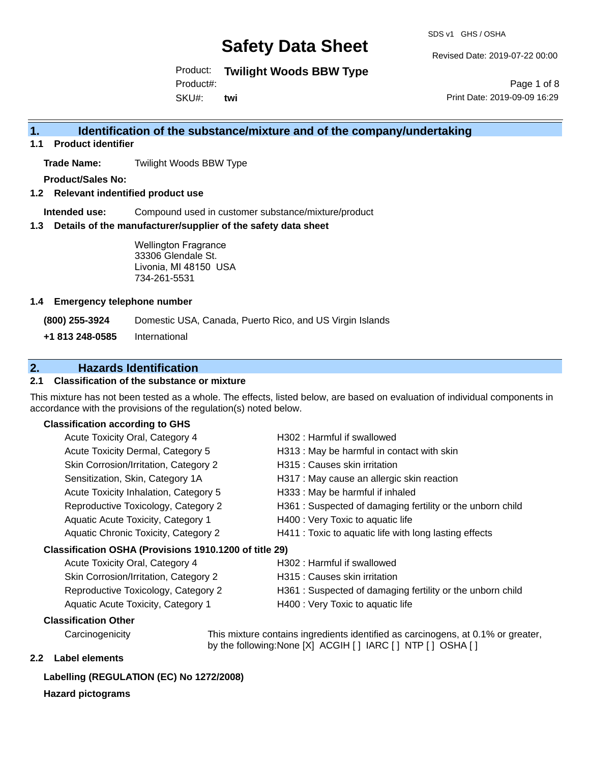SDS v1 GHS / OSHA

Revised Date: 2019-07-22 00:00

Product: **Twilight Woods BBW Type**

Product#:

SKU#: **twi**

Page 1 of 8 Print Date: 2019-09-09 16:29

### **1. Identification of the substance/mixture and of the company/undertaking**

**1.1 Product identifier**

**Trade Name:** Twilight Woods BBW Type

**Product/Sales No:**

**1.2 Relevant indentified product use**

**Intended use:** Compound used in customer substance/mixture/product

**1.3 Details of the manufacturer/supplier of the safety data sheet**

Wellington Fragrance 33306 Glendale St. Livonia, MI 48150 USA 734-261-5531

#### **1.4 Emergency telephone number**

**(800) 255-3924** Domestic USA, Canada, Puerto Rico, and US Virgin Islands

**+1 813 248-0585** International

## **2. Hazards Identification**

#### **2.1 Classification of the substance or mixture**

This mixture has not been tested as a whole. The effects, listed below, are based on evaluation of individual components in accordance with the provisions of the regulation(s) noted below.

#### **Classification according to GHS**

| Acute Toxicity Oral, Category 4                        | H302 : Harmful if swallowed                               |
|--------------------------------------------------------|-----------------------------------------------------------|
| Acute Toxicity Dermal, Category 5                      | H313: May be harmful in contact with skin                 |
| Skin Corrosion/Irritation, Category 2                  | H315 : Causes skin irritation                             |
| Sensitization, Skin, Category 1A                       | H317 : May cause an allergic skin reaction                |
| Acute Toxicity Inhalation, Category 5                  | H333: May be harmful if inhaled                           |
| Reproductive Toxicology, Category 2                    | H361: Suspected of damaging fertility or the unborn child |
| Aquatic Acute Toxicity, Category 1                     | H400 : Very Toxic to aquatic life                         |
| <b>Aquatic Chronic Toxicity, Category 2</b>            | H411 : Toxic to aquatic life with long lasting effects    |
| Classification OSHA (Provisions 1910.1200 of title 29) |                                                           |
| Acute Toxicity Oral, Category 4                        | H302 : Harmful if swallowed                               |
| Skin Corrosion/Irritation, Category 2                  | H315 : Causes skin irritation                             |
| Reproductive Toxicology, Category 2                    | H361: Suspected of damaging fertility or the unborn child |
| Aquatic Acute Toxicity, Category 1                     | H400 : Very Toxic to aquatic life                         |

#### **Classification Other**

Carcinogenicity This mixture contains ingredients identified as carcinogens, at 0.1% or greater, by the following:None [X] ACGIH [ ] IARC [ ] NTP [ ] OSHA [ ]

### **2.2 Label elements**

#### **Labelling (REGULATION (EC) No 1272/2008)**

#### **Hazard pictograms**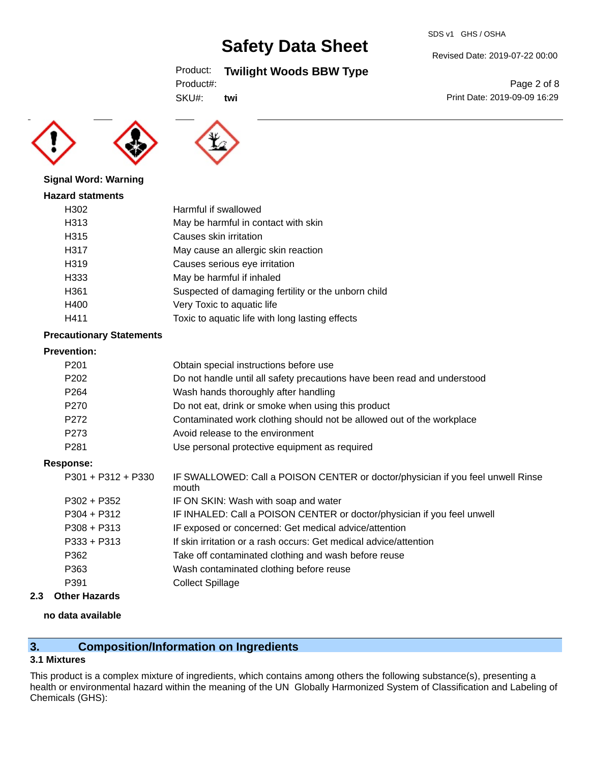#### SDS v1 GHS / OSHA

# **Safety Data Sheet**

## Product: **Twilight Woods BBW Type**

| Product#: |
|-----------|
|-----------|

SKU#: **twi**

**Signal Word: Warning Hazard statments**



| H302 | Harmful if swallowed                                |
|------|-----------------------------------------------------|
| H313 | May be harmful in contact with skin                 |
| H315 | Causes skin irritation                              |
| H317 | May cause an allergic skin reaction                 |
| H319 | Causes serious eye irritation                       |
| H333 | May be harmful if inhaled                           |
| H361 | Suspected of damaging fertility or the unborn child |
| H400 | Very Toxic to aquatic life                          |
| H411 | Toxic to aquatic life with long lasting effects     |

#### **Precautionary Statements**

#### **Prevention:**

| .                    |                                                                                          |
|----------------------|------------------------------------------------------------------------------------------|
| P <sub>201</sub>     | Obtain special instructions before use                                                   |
| P <sub>202</sub>     | Do not handle until all safety precautions have been read and understood                 |
| P <sub>264</sub>     | Wash hands thoroughly after handling                                                     |
| P <sub>270</sub>     | Do not eat, drink or smoke when using this product                                       |
| P272                 | Contaminated work clothing should not be allowed out of the workplace                    |
| P <sub>273</sub>     | Avoid release to the environment                                                         |
| P <sub>281</sub>     | Use personal protective equipment as required                                            |
| Response:            |                                                                                          |
| $P301 + P312 + P330$ | IF SWALLOWED: Call a POISON CENTER or doctor/physician if you feel unwell Rinse<br>mouth |
| $P302 + P352$        | IF ON SKIN: Wash with soap and water                                                     |
| $P304 + P312$        | IF INHALED: Call a POISON CENTER or doctor/physician if you feel unwell                  |
| $P308 + P313$        | IF exposed or concerned: Get medical advice/attention                                    |
| $P333 + P313$        | If skin irritation or a rash occurs: Get medical advice/attention                        |
| P362                 | Take off contaminated clothing and wash before reuse                                     |
| P363                 | Wash contaminated clothing before reuse                                                  |
| P391                 | <b>Collect Spillage</b>                                                                  |
|                      |                                                                                          |

### **2.3 Other Hazards**

#### **no data available**

## **3. Composition/Information on Ingredients**

### **3.1 Mixtures**

This product is a complex mixture of ingredients, which contains among others the following substance(s), presenting a health or environmental hazard within the meaning of the UN Globally Harmonized System of Classification and Labeling of Chemicals (GHS):

Revised Date: 2019-07-22 00:00

Page 2 of 8 Print Date: 2019-09-09 16:29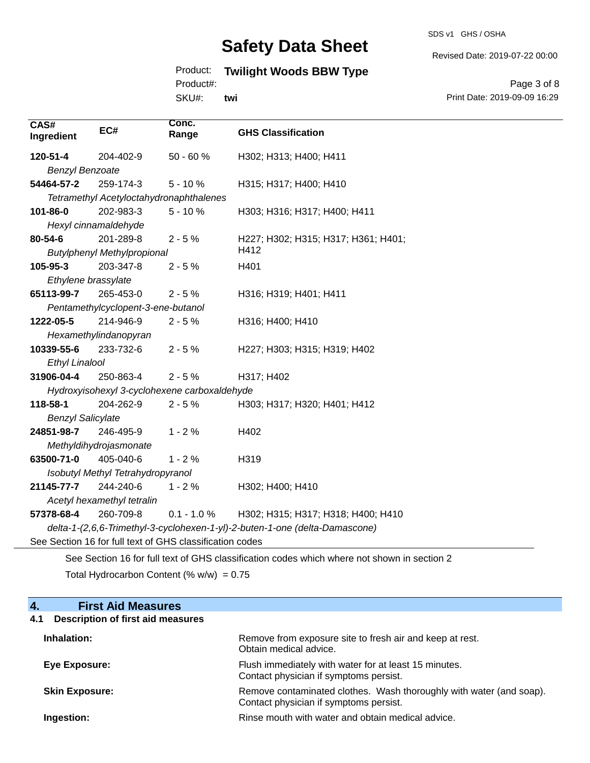SDS v1 GHS / OSHA

Revised Date: 2019-07-22 00:00

# Product: **Twilight Woods BBW Type**

Product#:

SKU#: **twi**

Page 3 of 8 Print Date: 2019-09-09 16:29

| CAS#<br>Ingredient                                                                          | EC#                                     | Conc.<br>Range                               | <b>GHS Classification</b>           |
|---------------------------------------------------------------------------------------------|-----------------------------------------|----------------------------------------------|-------------------------------------|
| 120-51-4                                                                                    | 204-402-9                               | $50 - 60%$                                   | H302; H313; H400; H411              |
| <b>Benzyl Benzoate</b>                                                                      |                                         |                                              |                                     |
| 54464-57-2                                                                                  | 259-174-3                               | $5 - 10%$                                    | H315; H317; H400; H410              |
|                                                                                             | Tetramethyl Acetyloctahydronaphthalenes |                                              |                                     |
| 101-86-0                                                                                    | 202-983-3                               | $5 - 10%$                                    | H303; H316; H317; H400; H411        |
|                                                                                             | Hexyl cinnamaldehyde                    |                                              |                                     |
| 80-54-6                                                                                     | 201-289-8                               | $2 - 5%$                                     | H227; H302; H315; H317; H361; H401; |
|                                                                                             | <b>Butylphenyl Methylpropional</b>      |                                              | H412                                |
| 105-95-3                                                                                    | 203-347-8                               | $2 - 5%$                                     | H401                                |
| Ethylene brassylate                                                                         |                                         |                                              |                                     |
| 65113-99-7                                                                                  | 265-453-0                               | $2 - 5%$                                     | H316; H319; H401; H411              |
|                                                                                             | Pentamethylcyclopent-3-ene-butanol      |                                              |                                     |
| 1222-05-5                                                                                   | 214-946-9                               | $2 - 5%$                                     | H316; H400; H410                    |
|                                                                                             | Hexamethylindanopyran                   |                                              |                                     |
| 10339-55-6                                                                                  | 233-732-6                               | $2 - 5%$                                     | H227; H303; H315; H319; H402        |
| <b>Ethyl Linalool</b>                                                                       |                                         |                                              |                                     |
| 31906-04-4                                                                                  | 250-863-4                               | $2 - 5%$                                     | H317; H402                          |
|                                                                                             |                                         | Hydroxyisohexyl 3-cyclohexene carboxaldehyde |                                     |
| 118-58-1                                                                                    | 204-262-9                               | $2 - 5%$                                     | H303; H317; H320; H401; H412        |
| <b>Benzyl Salicylate</b>                                                                    |                                         |                                              |                                     |
| 24851-98-7                                                                                  | 246-495-9                               | $1 - 2%$                                     | H402                                |
|                                                                                             | Methyldihydrojasmonate                  |                                              |                                     |
| 63500-71-0                                                                                  | 405-040-6                               | $1 - 2%$                                     | H319                                |
|                                                                                             | Isobutyl Methyl Tetrahydropyranol       |                                              |                                     |
| 21145-77-7                                                                                  | 244-240-6                               | $1 - 2%$                                     | H302; H400; H410                    |
| Acetyl hexamethyl tetralin                                                                  |                                         |                                              |                                     |
| 57378-68-4                                                                                  | 260-709-8                               | $0.1 - 1.0 %$                                | H302; H315; H317; H318; H400; H410  |
| delta-1-(2,6,6-Trimethyl-3-cyclohexen-1-yl)-2-buten-1-one (delta-Damascone)                 |                                         |                                              |                                     |
| See Section 16 for full text of GHS classification codes                                    |                                         |                                              |                                     |
| See Section 16 for full text of GHS classification codes which where not shown in section 2 |                                         |                                              |                                     |

Total Hydrocarbon Content (%  $w/w$ ) = 0.75

## **4. First Aid Measures**

# **4.1 Description of first aid measures**

| Inhalation:           | Remove from exposure site to fresh air and keep at rest.<br>Obtain medical advice.                            |
|-----------------------|---------------------------------------------------------------------------------------------------------------|
| <b>Eye Exposure:</b>  | Flush immediately with water for at least 15 minutes.<br>Contact physician if symptoms persist.               |
| <b>Skin Exposure:</b> | Remove contaminated clothes. Wash thoroughly with water (and soap).<br>Contact physician if symptoms persist. |
| Ingestion:            | Rinse mouth with water and obtain medical advice.                                                             |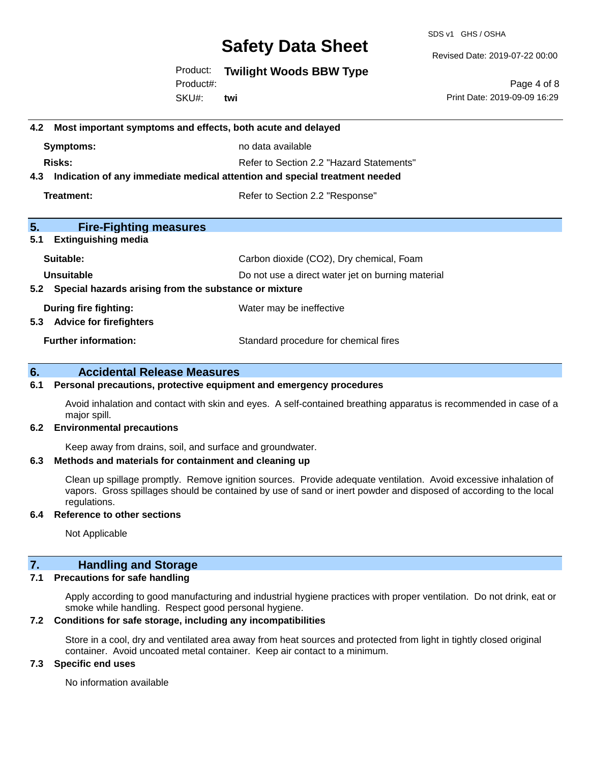SDS v1 GHS / OSHA

Revised Date: 2019-07-22 00:00

Product: **Twilight Woods BBW Type**

SKU#: Product#: **twi**

Page 4 of 8 Print Date: 2019-09-09 16:29

| 4.2 Most important symptoms and effects, both acute and delayed                   |                                          |  |
|-----------------------------------------------------------------------------------|------------------------------------------|--|
| Symptoms:                                                                         | no data available                        |  |
| Risks:                                                                            | Refer to Section 2.2 "Hazard Statements" |  |
| Indication of any immediate medical attention and special treatment needed<br>4.3 |                                          |  |
| Treatment:                                                                        | Refer to Section 2.2 "Response"          |  |
| 5.<br><b>Fire-Fighting measures</b>                                               |                                          |  |
| 5.1<br><b>Extinguishing media</b>                                                 |                                          |  |
| Suitable:                                                                         | Carbon dioxide (CO2), Dry chemical, Foam |  |
| Unsuitable<br>Do not use a direct water jet on burning material                   |                                          |  |
| Special hazards arising from the substance or mixture<br>5.2                      |                                          |  |
| During fire fighting:<br><b>Advice for firefighters</b><br>5.3                    | Water may be ineffective                 |  |
| <b>Further information:</b>                                                       | Standard procedure for chemical fires    |  |
|                                                                                   |                                          |  |

# **6. Accidental Release Measures**

#### **6.1 Personal precautions, protective equipment and emergency procedures**

Avoid inhalation and contact with skin and eyes. A self-contained breathing apparatus is recommended in case of a major spill.

#### **6.2 Environmental precautions**

Keep away from drains, soil, and surface and groundwater.

#### **6.3 Methods and materials for containment and cleaning up**

Clean up spillage promptly. Remove ignition sources. Provide adequate ventilation. Avoid excessive inhalation of vapors. Gross spillages should be contained by use of sand or inert powder and disposed of according to the local regulations.

#### **6.4 Reference to other sections**

Not Applicable

### **7. Handling and Storage**

#### **7.1 Precautions for safe handling**

Apply according to good manufacturing and industrial hygiene practices with proper ventilation. Do not drink, eat or smoke while handling. Respect good personal hygiene.

#### **7.2 Conditions for safe storage, including any incompatibilities**

Store in a cool, dry and ventilated area away from heat sources and protected from light in tightly closed original container. Avoid uncoated metal container. Keep air contact to a minimum.

#### **7.3 Specific end uses**

No information available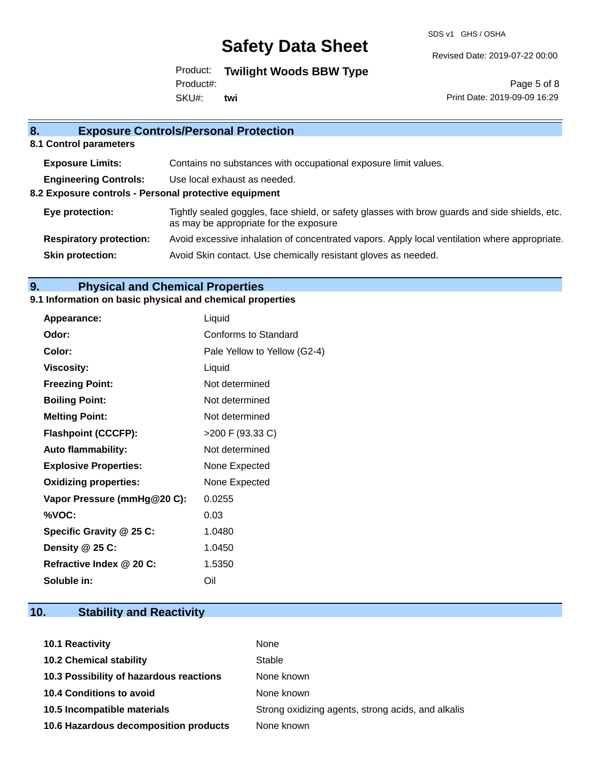SDS v1 GHS / OSHA

Revised Date: 2019-07-22 00:00

Product: **Twilight Woods BBW Type** SKU#: Product#: **twi**

Page 5 of 8 Print Date: 2019-09-09 16:29

| 8.                                                    | <b>Exposure Controls/Personal Protection</b>                                                                                             |
|-------------------------------------------------------|------------------------------------------------------------------------------------------------------------------------------------------|
| 8.1 Control parameters                                |                                                                                                                                          |
| <b>Exposure Limits:</b>                               | Contains no substances with occupational exposure limit values.                                                                          |
| <b>Engineering Controls:</b>                          | Use local exhaust as needed.                                                                                                             |
| 8.2 Exposure controls - Personal protective equipment |                                                                                                                                          |
| Eye protection:                                       | Tightly sealed goggles, face shield, or safety glasses with brow guards and side shields, etc.<br>as may be appropriate for the exposure |
| <b>Respiratory protection:</b>                        | Avoid excessive inhalation of concentrated vapors. Apply local ventilation where appropriate.                                            |
| <b>Skin protection:</b>                               | Avoid Skin contact. Use chemically resistant gloves as needed.                                                                           |
|                                                       |                                                                                                                                          |

# **9. Physical and Chemical Properties**

## **9.1 Information on basic physical and chemical properties**

| Appearance:                  | Liquid                       |
|------------------------------|------------------------------|
| Odor:                        | Conforms to Standard         |
| Color:                       | Pale Yellow to Yellow (G2-4) |
| <b>Viscosity:</b>            | Liquid                       |
| <b>Freezing Point:</b>       | Not determined               |
| <b>Boiling Point:</b>        | Not determined               |
| <b>Melting Point:</b>        | Not determined               |
| <b>Flashpoint (CCCFP):</b>   | >200 F (93.33 C)             |
| <b>Auto flammability:</b>    | Not determined               |
| <b>Explosive Properties:</b> | None Expected                |
| <b>Oxidizing properties:</b> | None Expected                |
| Vapor Pressure (mmHg@20 C):  | 0.0255                       |
| %VOC:                        | 0.03                         |
| Specific Gravity @ 25 C:     | 1.0480                       |
| Density @ 25 C:              | 1.0450                       |
| Refractive Index @ 20 C:     | 1.5350                       |
| Soluble in:                  | Oil                          |

# **10. Stability and Reactivity**

| <b>10.1 Reactivity</b>                  | None                                               |
|-----------------------------------------|----------------------------------------------------|
| <b>10.2 Chemical stability</b>          | Stable                                             |
| 10.3 Possibility of hazardous reactions | None known                                         |
| <b>10.4 Conditions to avoid</b>         | None known                                         |
| 10.5 Incompatible materials             | Strong oxidizing agents, strong acids, and alkalis |
| 10.6 Hazardous decomposition products   | None known                                         |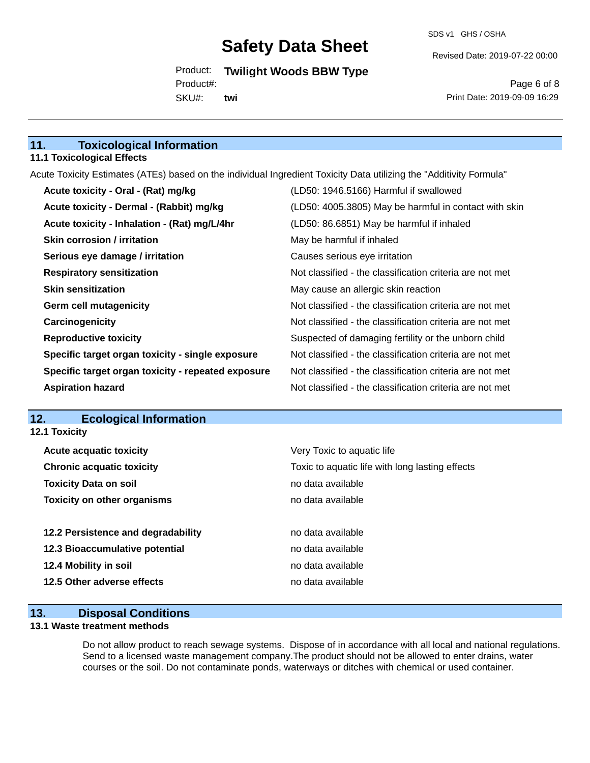SDS v1 GHS / OSHA

Revised Date: 2019-07-22 00:00

Product: **Twilight Woods BBW Type** SKU#: Product#: **twi**

Page 6 of 8 Print Date: 2019-09-09 16:29

# **11. Toxicological Information**

#### **11.1 Toxicological Effects**

Acute Toxicity Estimates (ATEs) based on the individual Ingredient Toxicity Data utilizing the "Additivity Formula"

| Acute toxicity - Oral - (Rat) mg/kg                | (LD50: 1946.5166) Harmful if swallowed                   |
|----------------------------------------------------|----------------------------------------------------------|
| Acute toxicity - Dermal - (Rabbit) mg/kg           | (LD50: 4005.3805) May be harmful in contact with skin    |
| Acute toxicity - Inhalation - (Rat) mg/L/4hr       | (LD50: 86.6851) May be harmful if inhaled                |
| <b>Skin corrosion / irritation</b>                 | May be harmful if inhaled                                |
| Serious eye damage / irritation                    | Causes serious eye irritation                            |
| <b>Respiratory sensitization</b>                   | Not classified - the classification criteria are not met |
| <b>Skin sensitization</b>                          | May cause an allergic skin reaction                      |
| <b>Germ cell mutagenicity</b>                      | Not classified - the classification criteria are not met |
| Carcinogenicity                                    | Not classified - the classification criteria are not met |
| <b>Reproductive toxicity</b>                       | Suspected of damaging fertility or the unborn child      |
| Specific target organ toxicity - single exposure   | Not classified - the classification criteria are not met |
| Specific target organ toxicity - repeated exposure | Not classified - the classification criteria are not met |
| <b>Aspiration hazard</b>                           | Not classified - the classification criteria are not met |

#### **12. Ecological Information 12.1 Toxicity**

| <b>Acute acquatic toxicity</b>     | Very Toxic to aquatic life                      |
|------------------------------------|-------------------------------------------------|
| <b>Chronic acquatic toxicity</b>   | Toxic to aquatic life with long lasting effects |
| <b>Toxicity Data on soil</b>       | no data available                               |
| <b>Toxicity on other organisms</b> | no data available                               |
|                                    |                                                 |
| 12.2 Persistence and degradability | no data available                               |
| 12.3 Bioaccumulative potential     | no data available                               |
| 12.4 Mobility in soil              | no data available                               |
| 12.5 Other adverse effects         | no data available                               |
|                                    |                                                 |

# **13. Disposal Conditions**

#### **13.1 Waste treatment methods**

Do not allow product to reach sewage systems. Dispose of in accordance with all local and national regulations. Send to a licensed waste management company.The product should not be allowed to enter drains, water courses or the soil. Do not contaminate ponds, waterways or ditches with chemical or used container.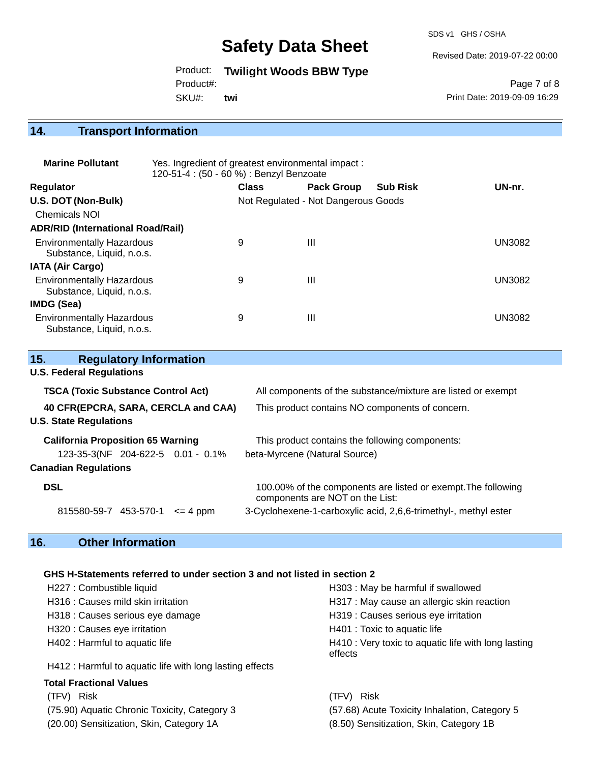SDS v1 GHS / OSHA

Revised Date: 2019-07-22 00:00

Product: **Twilight Woods BBW Type**

Product#:

SKU#: **twi**

Page 7 of 8 Print Date: 2019-09-09 16:29

## **14. Transport Information**

| <b>Marine Pollutant</b>                                       | Yes. Ingredient of greatest environmental impact:<br>120-51-4 : (50 - 60 %) : Benzyl Benzoate |              |                                     |                 |               |
|---------------------------------------------------------------|-----------------------------------------------------------------------------------------------|--------------|-------------------------------------|-----------------|---------------|
| <b>Regulator</b>                                              |                                                                                               | <b>Class</b> | <b>Pack Group</b>                   | <b>Sub Risk</b> | UN-nr.        |
| U.S. DOT (Non-Bulk)                                           |                                                                                               |              | Not Regulated - Not Dangerous Goods |                 |               |
| <b>Chemicals NOI</b>                                          |                                                                                               |              |                                     |                 |               |
| <b>ADR/RID (International Road/Rail)</b>                      |                                                                                               |              |                                     |                 |               |
| <b>Environmentally Hazardous</b><br>Substance, Liquid, n.o.s. |                                                                                               | 9            | Ш                                   |                 | <b>UN3082</b> |
| IATA (Air Cargo)                                              |                                                                                               |              |                                     |                 |               |
| <b>Environmentally Hazardous</b><br>Substance, Liquid, n.o.s. |                                                                                               | 9            | Ш                                   |                 | <b>UN3082</b> |
| <b>IMDG (Sea)</b>                                             |                                                                                               |              |                                     |                 |               |
| <b>Environmentally Hazardous</b><br>Substance, Liquid, n.o.s. |                                                                                               | 9            | Ш                                   |                 | UN3082        |

| <b>Regulatory Information</b><br>15.      |                                                                                                  |  |
|-------------------------------------------|--------------------------------------------------------------------------------------------------|--|
| <b>U.S. Federal Regulations</b>           |                                                                                                  |  |
| <b>TSCA (Toxic Substance Control Act)</b> | All components of the substance/mixture are listed or exempt                                     |  |
| 40 CFR(EPCRA, SARA, CERCLA and CAA)       | This product contains NO components of concern.                                                  |  |
| <b>U.S. State Regulations</b>             |                                                                                                  |  |
| <b>California Proposition 65 Warning</b>  | This product contains the following components:                                                  |  |
| 123-35-3(NF 204-622-5 0.01 - 0.1%         | beta-Myrcene (Natural Source)                                                                    |  |
| <b>Canadian Regulations</b>               |                                                                                                  |  |
| <b>DSL</b>                                | 100.00% of the components are listed or exempt. The following<br>components are NOT on the List: |  |
| 815580-59-7 453-570-1<br>$\leq$ 4 ppm     | 3-Cyclohexene-1-carboxylic acid, 2,6,6-trimethyl-, methyl ester                                  |  |

## **16. Other Information**

### **GHS H-Statements referred to under section 3 and not listed in section 2**

| H227 : Combustible liquid                                | H303: May be harmful if swallowed                              |  |  |
|----------------------------------------------------------|----------------------------------------------------------------|--|--|
| H316 : Causes mild skin irritation                       | H317 : May cause an allergic skin reaction                     |  |  |
| H318 : Causes serious eye damage                         | H319 : Causes serious eye irritation                           |  |  |
| H320 : Causes eye irritation                             | H401 : Toxic to aquatic life                                   |  |  |
| H402 : Harmful to aquatic life                           | H410 : Very toxic to aquatic life with long lasting<br>effects |  |  |
| H412 : Harmful to aquatic life with long lasting effects |                                                                |  |  |
| <b>Total Fractional Values</b>                           |                                                                |  |  |
| Risk<br>(TFV)                                            | Risk<br>(TFV)                                                  |  |  |
| (75.90) Aquatic Chronic Toxicity, Category 3             | (57.68) Acute Toxicity Inhalation, Category 5                  |  |  |

(20.00) Sensitization, Skin, Category 1A (8.50) Sensitization, Skin, Category 1B